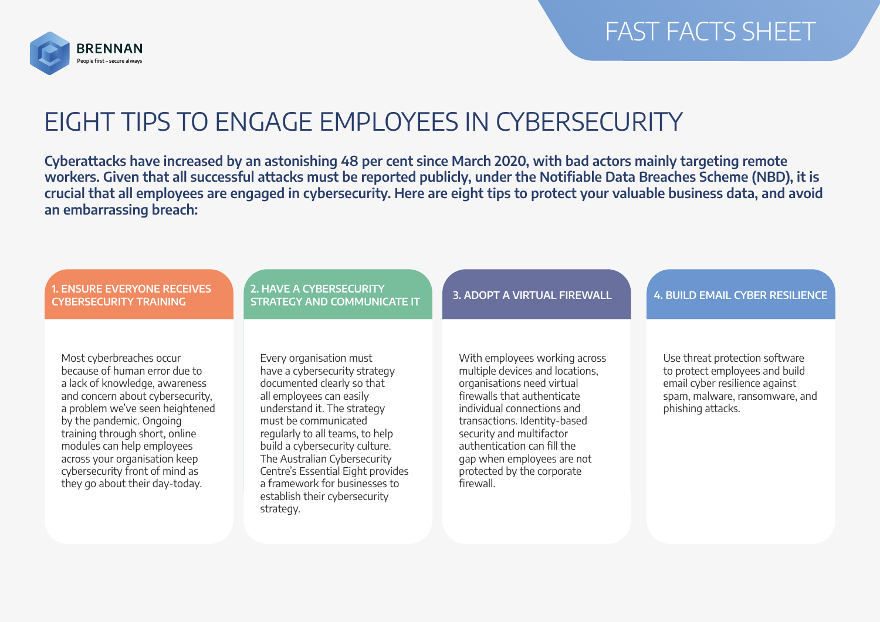

## EIGHT TIPS TO ENGAGE EMPLOYEES IN CYBERSECURITY

**Cyberattacks have increased by an astonishing 48 per cent since March 2020, with bad actors mainly targeting remote workers. Given that all successful attacks must be reported publicly, under the Notifiable Data Breaches Scheme (NBD), it is crucial that all employees are engaged in cybersecurity. Here are eight tips to protect your valuable business data, and avoid an embarrassing breach:**

| <b>1. ENSURE EVERYONE RECEIVES</b><br><b>CYBERSECURITY TRAINING</b>                                                                                                                                                                                                                                                                                                 | <b>2. HAVE A CYBERSECURITY</b><br><b>STRATEGY AND COMMUNICATE IT</b>                                                                                                                                                                                                                                                                                                                               | <b>3. ADOPT A VIRTUAL FIREWALL</b>                                                                                                                                                                                                                                                                                              | <b>4. BUILD EMAIL CYBER RESILIENCE</b>                                                                                                                    |
|---------------------------------------------------------------------------------------------------------------------------------------------------------------------------------------------------------------------------------------------------------------------------------------------------------------------------------------------------------------------|----------------------------------------------------------------------------------------------------------------------------------------------------------------------------------------------------------------------------------------------------------------------------------------------------------------------------------------------------------------------------------------------------|---------------------------------------------------------------------------------------------------------------------------------------------------------------------------------------------------------------------------------------------------------------------------------------------------------------------------------|-----------------------------------------------------------------------------------------------------------------------------------------------------------|
| Most cyberbreaches occur<br>because of human error due to<br>a lack of knowledge, awareness<br>and concern about cybersecurity,<br>a problem we've seen heightened<br>by the pandemic. Ongoing<br>training through short, online<br>modules can help employees<br>across your organisation keep<br>cybersecurity front of mind as<br>they go about their day-today. | Every organisation must<br>have a cybersecurity strategy<br>documented clearly so that<br>all employees can easily<br>understand it. The strategy<br>must be communicated<br>regularly to all teams, to help<br>build a cybersecurity culture.<br>The Australian Cybersecurity<br>Centre's Essential Eight provides<br>a framework for businesses to<br>establish their cybersecurity<br>strategy. | With employees working across<br>multiple devices and locations,<br>organisations need virtual<br>firewalls that authenticate<br>individual connections and<br>transactions. Identity-based<br>security and multifactor<br>authentication can fill the<br>gap when employees are not<br>protected by the corporate<br>firewall. | Use threat protection software<br>to protect employees and build<br>email cyber resilience against<br>spam, malware, ransomware, and<br>phishing attacks. |